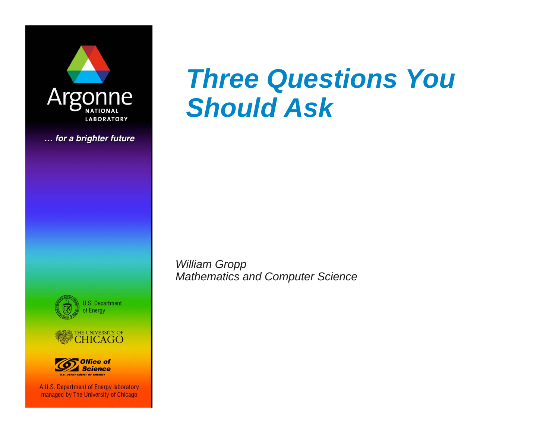

... for a brighter future







A U.S. Department of Energy laboratory managed by The University of Chicago

# *Three Questions You Should Ask*

*William Gropp Mathematics and Computer Science*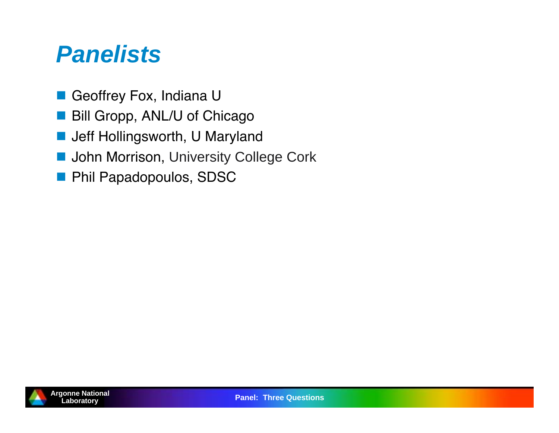#### *Panelists*

- Geoffrey Fox, Indiana U
- Bill Gropp, ANL/U of Chicago
- Jeff Hollingsworth, U Maryland
- **D** John Morrison, University College Cork
- **Phil Papadopoulos, SDSC**

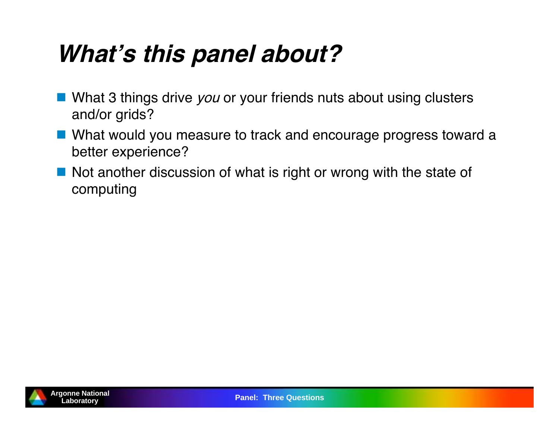# **Whats this panel about?**

- What 3 things drive you or your friends nuts about using clusters and/or grids?
- What would you measure to track and encourage progress toward a better experience?
- Not another discussion of what is right or wrong with the state of computing

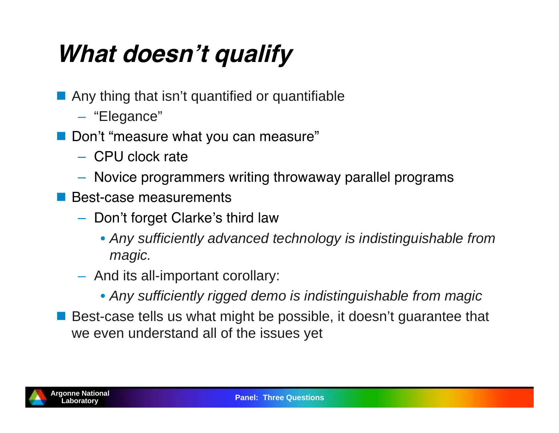# **What doesnt qualify**

- **Any thing that isn't quantified or quantifiable** 
	- "Elegance"
- Don't "measure what you can measure"
	- CPU clock rate
	- Novice programmers writing throwaway parallel programs
- **Best-case measurements** 
	- Don't forget Clarke's third law
		- *Any sufficiently advanced technology is indistinguishable from magic.*
	- $-$  And its all-important corollary:
		- *Any sufficiently rigged demo is indistinguishable from magic*
- Best-case tells us what might be possible, it doesn't guarantee that we even understand all of the issues yet

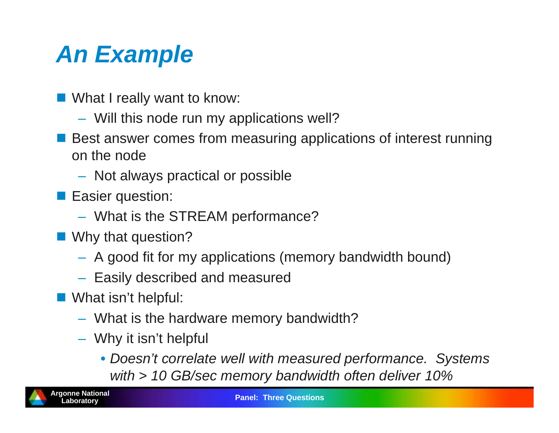# *An Example*

- What I really want to know:
	- Will this node run my applications well?
- Best answer comes from measuring applications of interest running on the node
	- $-$  Not always practical or possible
- **Easier question:** 
	- What is the STREAM performance?
- Why that question?
	- A good fit for my applications (memory bandwidth bound)
	- $-$  Easily described and measured
- What isn't helpful:
	- What is the hardware memory bandwidth?
	- Why it isn't helpful
		- *Doesn't correlate well with measured performance. Systems with > 10 GB/sec memory bandwidth often deliver 10%*

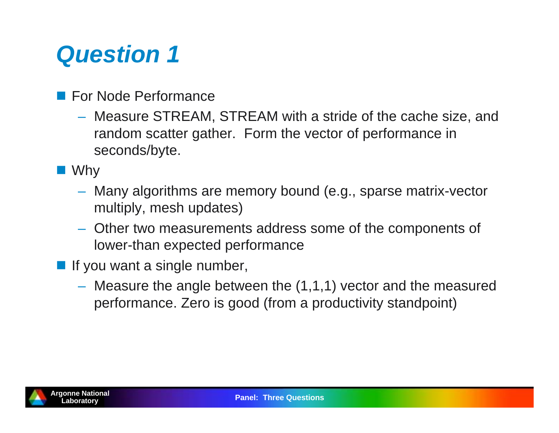### *Question 1*

- **For Node Performance** 
	- Measure STREAM, STREAM with a stride of the cache size, and random scatter gather. Form the vector of performance in seconds/byte.
- Why
	- Many algorithms are memory bound (e.g., sparse matrix-vector multiply, mesh updates)
	- Other two measurements address some of the components of lower-than expected performance
- **If you want a single number,** 
	- Measure the angle between the (1,1,1) vector and the measured performance. Zero is good (from a productivity standpoint)

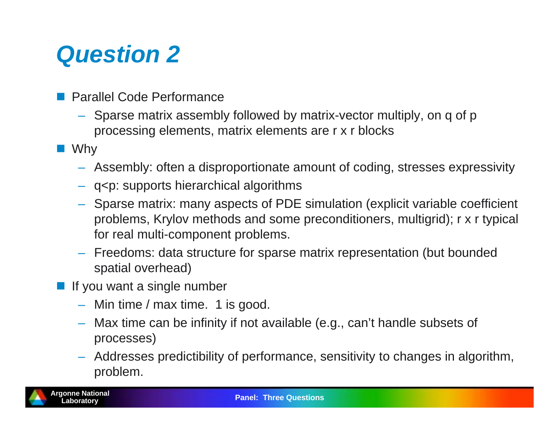### *Question 2*

- **Parallel Code Performance** 
	- Sparse matrix assembly followed by matrix-vector multiply, on q of p processing elements, matrix elements are r x r blocks
- Why
	- Assembly: often a disproportionate amount of coding, stresses expressivity
	- q<p: supports hierarchical algorithms
	- Sparse matrix: many aspects of PDE simulation (explicit variable coefficient problems, Krylov methods and some preconditioners, multigrid); r x r typical for real multi-component problems.
	- Freedoms: data structure for sparse matrix representation (but bounded spatial overhead)
- **If you want a single number** 
	- Min time / max time. 1 is good.
	- Max time can be infinity if not available (e.g., can't handle subsets of processes)
	- Addresses predictibility of performance, sensitivity to changes in algorithm, problem.

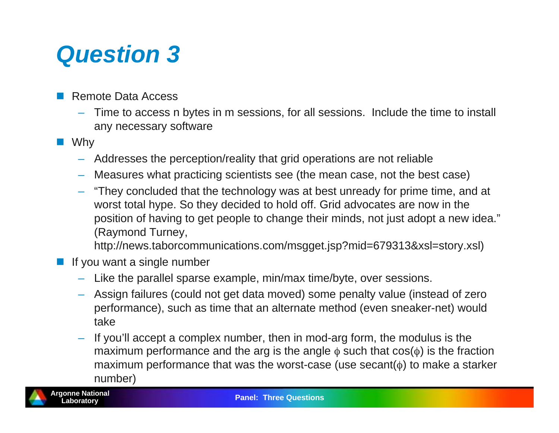### *Question 3*

- Remote Data Access
	- Time to access n bytes in m sessions, for all sessions. Include the time to install any necessary software
- Why
	- Addresses the perception/reality that grid operations are not reliable
	- Measures what practicing scientists see (the mean case, not the best case)
	- "They concluded that the technology was at best unready for prime time, and at worst total hype. So they decided to hold off. Grid advocates are now in the position of having to get people to change their minds, not just adopt a new idea." (Raymond Turney,

http://news.taborcommunications.com/msgget.jsp?mid=679313&xsl=story.xsl)

- F If you want a single number
	- Like the parallel sparse example, min/max time/byte, over sessions.
	- Assign failures (could not get data moved) some penalty value (instead of zero performance), such as time that an alternate method (even sneaker-net) would take
	- If you'll accept a complex number, then in mod-arg form, the modulus is the maximum performance and the arg is the angle  $\phi$  such that cos( $\phi$ ) is the fraction maximum performance that was the worst-case (use secant( $\phi$ ) to make a starker number)